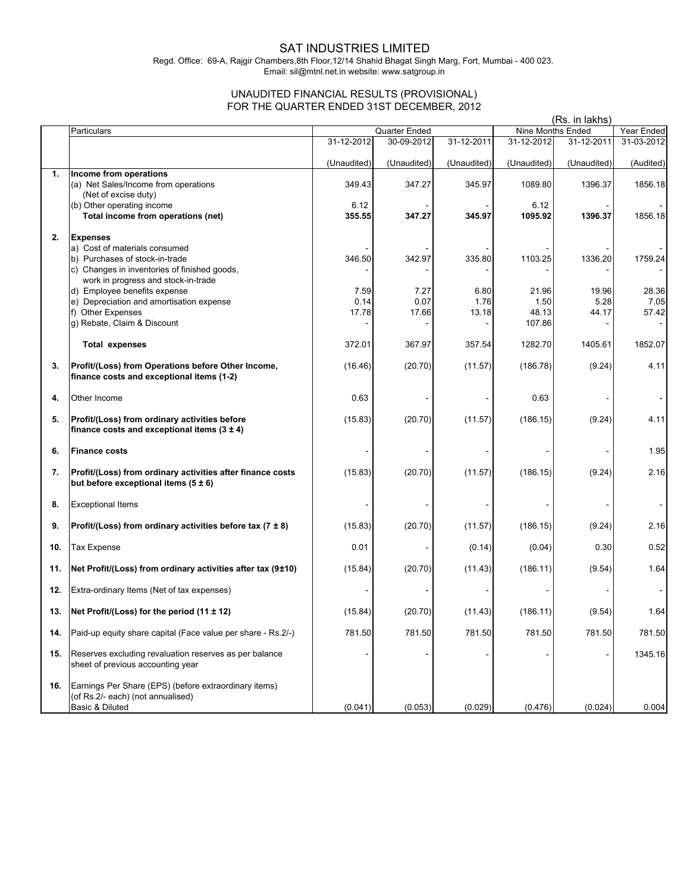## SAT INDUSTRIES LIMITED

Regd. Office: 69-A, Rajgir Chambers,8th Floor,12/14 Shahid Bhagat Singh Marg, Fort, Mumbai - 400 023. Email: sil@mtnl.net.in website: www.satgroup.in

## UNAUDITED FINANCIAL RESULTS (PROVISIONAL) FOR THE QUARTER ENDED 31ST DECEMBER, 2012

|     |                                                                                                               | (Rs. in lakhs) |               |             |                   |             |            |
|-----|---------------------------------------------------------------------------------------------------------------|----------------|---------------|-------------|-------------------|-------------|------------|
|     | Particulars                                                                                                   |                | Quarter Ended |             | Nine Months Ended |             | Year Ended |
|     |                                                                                                               | 31-12-2012     | 30-09-2012    | 31-12-2011  | 31-12-2012        | 31-12-2011  | 31-03-2012 |
|     |                                                                                                               | (Unaudited)    | (Unaudited)   | (Unaudited) | (Unaudited)       | (Unaudited) | (Audited)  |
| 1.  | Income from operations<br>(a) Net Sales/Income from operations<br>(Net of excise duty)                        | 349.43         | 347.27        | 345.97      | 1089.80           | 1396.37     | 1856.18    |
|     | (b) Other operating income<br>Total income from operations (net)                                              | 6.12<br>355.55 | 347.27        | 345.97      | 6.12<br>1095.92   | 1396.37     | 1856.18    |
| 2.  | <b>Expenses</b><br>a) Cost of materials consumed                                                              |                |               |             |                   |             |            |
|     | b) Purchases of stock-in-trade                                                                                | 346.50         | 342.97        | 335.80      | 1103.25           | 1336.20     | 1759.24    |
|     | c) Changes in inventories of finished goods,<br>work in progress and stock-in-trade                           |                |               |             |                   |             |            |
|     | d) Employee benefits expense                                                                                  | 7.59           | 7.27          | 6.80        | 21.96             | 19.96       | 28.36      |
|     | e) Depreciation and amortisation expense                                                                      | 0.14           | 0.07          | 1.76        | 1.50              | 5.28        | 7.05       |
|     | f) Other Expenses                                                                                             | 17.78          | 17.66         | 13.18       | 48.13             | 44.17       | 57.42      |
|     | g) Rebate, Claim & Discount                                                                                   |                |               |             | 107.86            |             |            |
|     | <b>Total expenses</b>                                                                                         | 372.01         | 367.97        | 357.54      | 1282.70           | 1405.61     | 1852.07    |
| 3.  | Profit/(Loss) from Operations before Other Income,<br>finance costs and exceptional items (1-2)               | (16.46)        | (20.70)       | (11.57)     | (186.78)          | (9.24)      | 4.11       |
| 4.  | Other Income                                                                                                  | 0.63           |               |             | 0.63              |             |            |
| 5.  | Profit/(Loss) from ordinary activities before<br>finance costs and exceptional items $(3 \pm 4)$              | (15.83)        | (20.70)       | (11.57)     | (186.15)          | (9.24)      | 4.11       |
| 6.  | <b>Finance costs</b>                                                                                          |                |               |             |                   |             | 1.95       |
| 7.  | Profit/(Loss) from ordinary activities after finance costs<br>but before exceptional items (5 ± 6)            | (15.83)        | (20.70)       | (11.57)     | (186.15)          | (9.24)      | 2.16       |
| 8.  | <b>Exceptional Items</b>                                                                                      |                |               |             |                   |             |            |
| 9.  | Profit/(Loss) from ordinary activities before tax (7 $\pm$ 8)                                                 | (15.83)        | (20.70)       | (11.57)     | (186.15)          | (9.24)      | 2.16       |
| 10. | <b>Tax Expense</b>                                                                                            | 0.01           |               | (0.14)      | (0.04)            | 0.30        | 0.52       |
| 11. | Net Profit/(Loss) from ordinary activities after tax (9±10)                                                   | (15.84)        | (20.70)       | (11.43)     | (186.11)          | (9.54)      | 1.64       |
| 12. | Extra-ordinary Items (Net of tax expenses)                                                                    |                |               |             |                   |             |            |
| 13. | Net Profit/(Loss) for the period $(11 \pm 12)$                                                                | (15.84)        | (20.70)       | (11.43)     | (186.11)          | (9.54)      | 1.64       |
| 14. | Paid-up equity share capital (Face value per share - Rs.2/-)                                                  | 781.50         | 781.50        | 781.50      | 781.50            | 781.50      | 781.50     |
| 15. | Reserves excluding revaluation reserves as per balance<br>sheet of previous accounting year                   |                |               |             |                   |             | 1345.16    |
| 16. | Earnings Per Share (EPS) (before extraordinary items)<br>(of Rs.2/- each) (not annualised)<br>Basic & Diluted | (0.041)        | (0.053)       | (0.029)     | (0.476)           | (0.024)     | 0.004      |